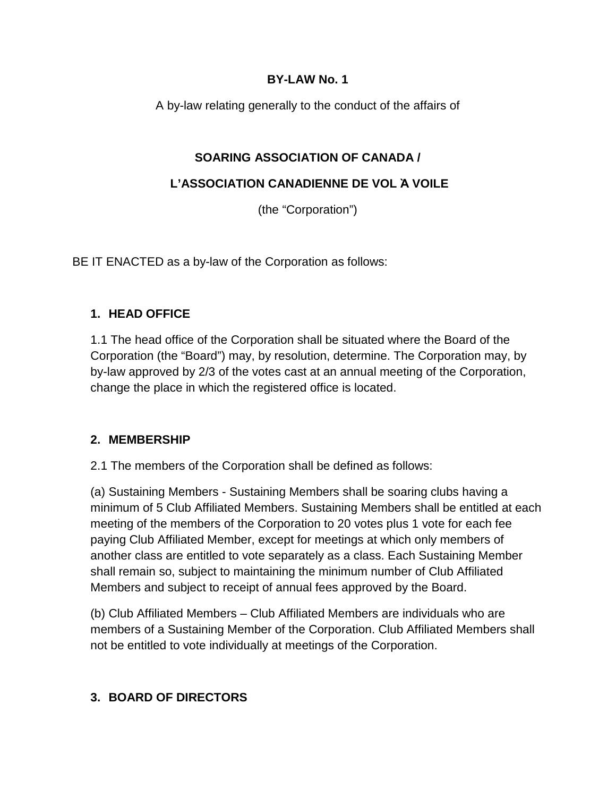#### **BY-LAW No. 1**

A by-law relating generally to the conduct of the affairs of

## **SOARING ASSOCIATION OF CANADA /**

#### **L'ASSOCIATION CANADIENNE DE VOL Ὰ VOILE**

(the "Corporation")

BE IT ENACTED as a by-law of the Corporation as follows:

#### **1. HEAD OFFICE**

1.1 The head office of the Corporation shall be situated where the Board of the Corporation (the "Board") may, by resolution, determine. The Corporation may, by by-law approved by 2/3 of the votes cast at an annual meeting of the Corporation, change the place in which the registered office is located.

#### **2. MEMBERSHIP**

2.1 The members of the Corporation shall be defined as follows:

(a) Sustaining Members - Sustaining Members shall be soaring clubs having a minimum of 5 Club Affiliated Members. Sustaining Members shall be entitled at each meeting of the members of the Corporation to 20 votes plus 1 vote for each fee paying Club Affiliated Member, except for meetings at which only members of another class are entitled to vote separately as a class. Each Sustaining Member shall remain so, subject to maintaining the minimum number of Club Affiliated Members and subject to receipt of annual fees approved by the Board.

(b) Club Affiliated Members – Club Affiliated Members are individuals who are members of a Sustaining Member of the Corporation. Club Affiliated Members shall not be entitled to vote individually at meetings of the Corporation.

#### **3. BOARD OF DIRECTORS**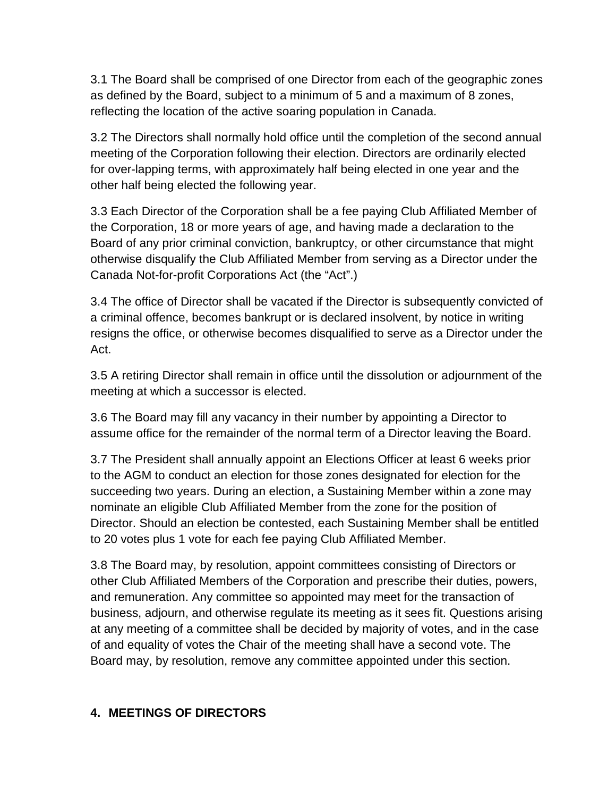3.1 The Board shall be comprised of one Director from each of the geographic zones as defined by the Board, subject to a minimum of 5 and a maximum of 8 zones, reflecting the location of the active soaring population in Canada.

3.2 The Directors shall normally hold office until the completion of the second annual meeting of the Corporation following their election. Directors are ordinarily elected for over-lapping terms, with approximately half being elected in one year and the other half being elected the following year.

3.3 Each Director of the Corporation shall be a fee paying Club Affiliated Member of the Corporation, 18 or more years of age, and having made a declaration to the Board of any prior criminal conviction, bankruptcy, or other circumstance that might otherwise disqualify the Club Affiliated Member from serving as a Director under the Canada Not-for-profit Corporations Act (the "Act".)

3.4 The office of Director shall be vacated if the Director is subsequently convicted of a criminal offence, becomes bankrupt or is declared insolvent, by notice in writing resigns the office, or otherwise becomes disqualified to serve as a Director under the Act.

3.5 A retiring Director shall remain in office until the dissolution or adjournment of the meeting at which a successor is elected.

3.6 The Board may fill any vacancy in their number by appointing a Director to assume office for the remainder of the normal term of a Director leaving the Board.

3.7 The President shall annually appoint an Elections Officer at least 6 weeks prior to the AGM to conduct an election for those zones designated for election for the succeeding two years. During an election, a Sustaining Member within a zone may nominate an eligible Club Affiliated Member from the zone for the position of Director. Should an election be contested, each Sustaining Member shall be entitled to 20 votes plus 1 vote for each fee paying Club Affiliated Member.

3.8 The Board may, by resolution, appoint committees consisting of Directors or other Club Affiliated Members of the Corporation and prescribe their duties, powers, and remuneration. Any committee so appointed may meet for the transaction of business, adjourn, and otherwise regulate its meeting as it sees fit. Questions arising at any meeting of a committee shall be decided by majority of votes, and in the case of and equality of votes the Chair of the meeting shall have a second vote. The Board may, by resolution, remove any committee appointed under this section.

## **4. MEETINGS OF DIRECTORS**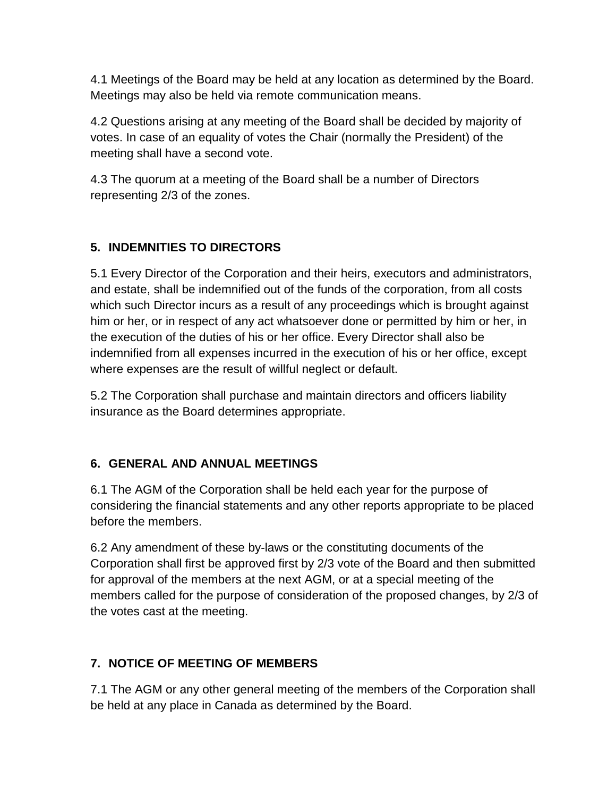4.1 Meetings of the Board may be held at any location as determined by the Board. Meetings may also be held via remote communication means.

4.2 Questions arising at any meeting of the Board shall be decided by majority of votes. In case of an equality of votes the Chair (normally the President) of the meeting shall have a second vote.

4.3 The quorum at a meeting of the Board shall be a number of Directors representing 2/3 of the zones.

# **5. INDEMNITIES TO DIRECTORS**

5.1 Every Director of the Corporation and their heirs, executors and administrators, and estate, shall be indemnified out of the funds of the corporation, from all costs which such Director incurs as a result of any proceedings which is brought against him or her, or in respect of any act whatsoever done or permitted by him or her, in the execution of the duties of his or her office. Every Director shall also be indemnified from all expenses incurred in the execution of his or her office, except where expenses are the result of willful neglect or default.

5.2 The Corporation shall purchase and maintain directors and officers liability insurance as the Board determines appropriate.

# **6. GENERAL AND ANNUAL MEETINGS**

6.1 The AGM of the Corporation shall be held each year for the purpose of considering the financial statements and any other reports appropriate to be placed before the members.

6.2 Any amendment of these by-laws or the constituting documents of the Corporation shall first be approved first by 2/3 vote of the Board and then submitted for approval of the members at the next AGM, or at a special meeting of the members called for the purpose of consideration of the proposed changes, by 2/3 of the votes cast at the meeting.

# **7. NOTICE OF MEETING OF MEMBERS**

7.1 The AGM or any other general meeting of the members of the Corporation shall be held at any place in Canada as determined by the Board.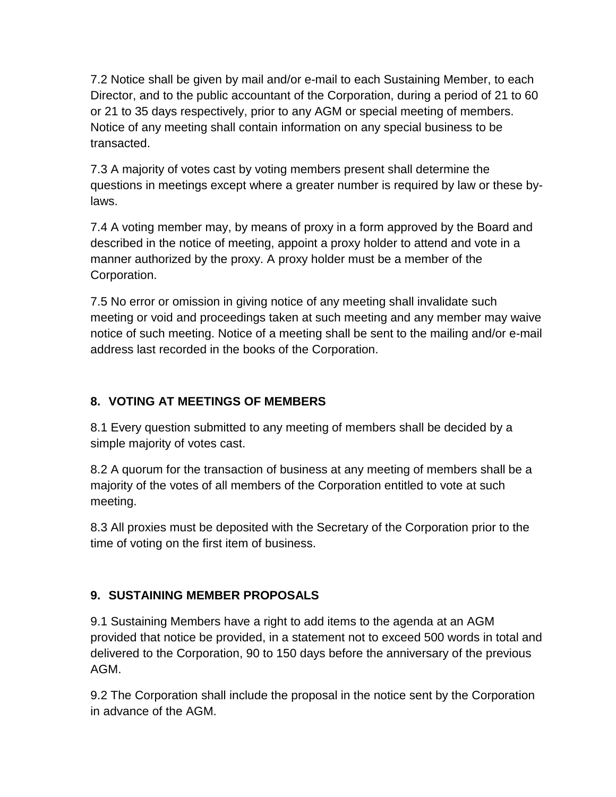7.2 Notice shall be given by mail and/or e-mail to each Sustaining Member, to each Director, and to the public accountant of the Corporation, during a period of 21 to 60 or 21 to 35 days respectively, prior to any AGM or special meeting of members. Notice of any meeting shall contain information on any special business to be transacted.

7.3 A majority of votes cast by voting members present shall determine the questions in meetings except where a greater number is required by law or these bylaws.

7.4 A voting member may, by means of proxy in a form approved by the Board and described in the notice of meeting, appoint a proxy holder to attend and vote in a manner authorized by the proxy. A proxy holder must be a member of the Corporation.

7.5 No error or omission in giving notice of any meeting shall invalidate such meeting or void and proceedings taken at such meeting and any member may waive notice of such meeting. Notice of a meeting shall be sent to the mailing and/or e-mail address last recorded in the books of the Corporation.

## **8. VOTING AT MEETINGS OF MEMBERS**

8.1 Every question submitted to any meeting of members shall be decided by a simple majority of votes cast.

8.2 A quorum for the transaction of business at any meeting of members shall be a majority of the votes of all members of the Corporation entitled to vote at such meeting.

8.3 All proxies must be deposited with the Secretary of the Corporation prior to the time of voting on the first item of business.

# **9. SUSTAINING MEMBER PROPOSALS**

9.1 Sustaining Members have a right to add items to the agenda at an AGM provided that notice be provided, in a statement not to exceed 500 words in total and delivered to the Corporation, 90 to 150 days before the anniversary of the previous AGM.

9.2 The Corporation shall include the proposal in the notice sent by the Corporation in advance of the AGM.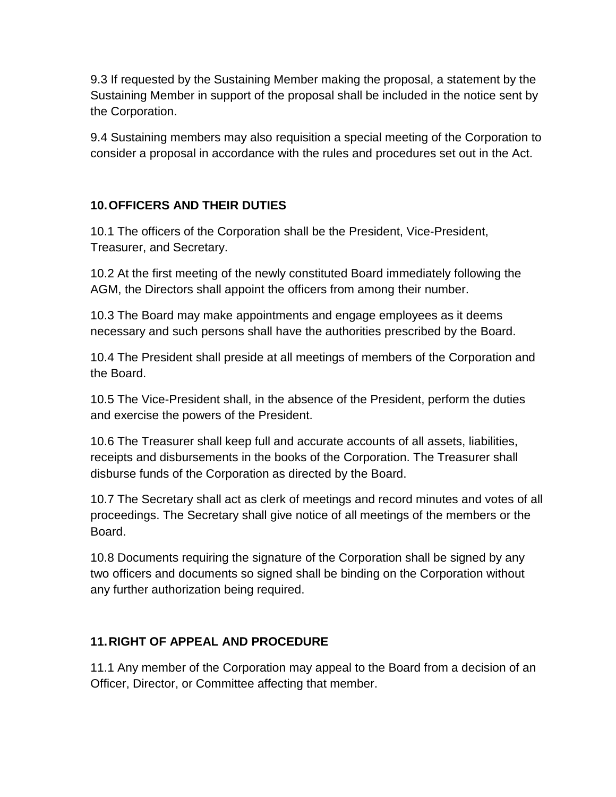9.3 If requested by the Sustaining Member making the proposal, a statement by the Sustaining Member in support of the proposal shall be included in the notice sent by the Corporation.

9.4 Sustaining members may also requisition a special meeting of the Corporation to consider a proposal in accordance with the rules and procedures set out in the Act.

## **10.OFFICERS AND THEIR DUTIES**

10.1 The officers of the Corporation shall be the President, Vice-President, Treasurer, and Secretary.

10.2 At the first meeting of the newly constituted Board immediately following the AGM, the Directors shall appoint the officers from among their number.

10.3 The Board may make appointments and engage employees as it deems necessary and such persons shall have the authorities prescribed by the Board.

10.4 The President shall preside at all meetings of members of the Corporation and the Board.

10.5 The Vice-President shall, in the absence of the President, perform the duties and exercise the powers of the President.

10.6 The Treasurer shall keep full and accurate accounts of all assets, liabilities, receipts and disbursements in the books of the Corporation. The Treasurer shall disburse funds of the Corporation as directed by the Board.

10.7 The Secretary shall act as clerk of meetings and record minutes and votes of all proceedings. The Secretary shall give notice of all meetings of the members or the Board.

10.8 Documents requiring the signature of the Corporation shall be signed by any two officers and documents so signed shall be binding on the Corporation without any further authorization being required.

## **11.RIGHT OF APPEAL AND PROCEDURE**

11.1 Any member of the Corporation may appeal to the Board from a decision of an Officer, Director, or Committee affecting that member.